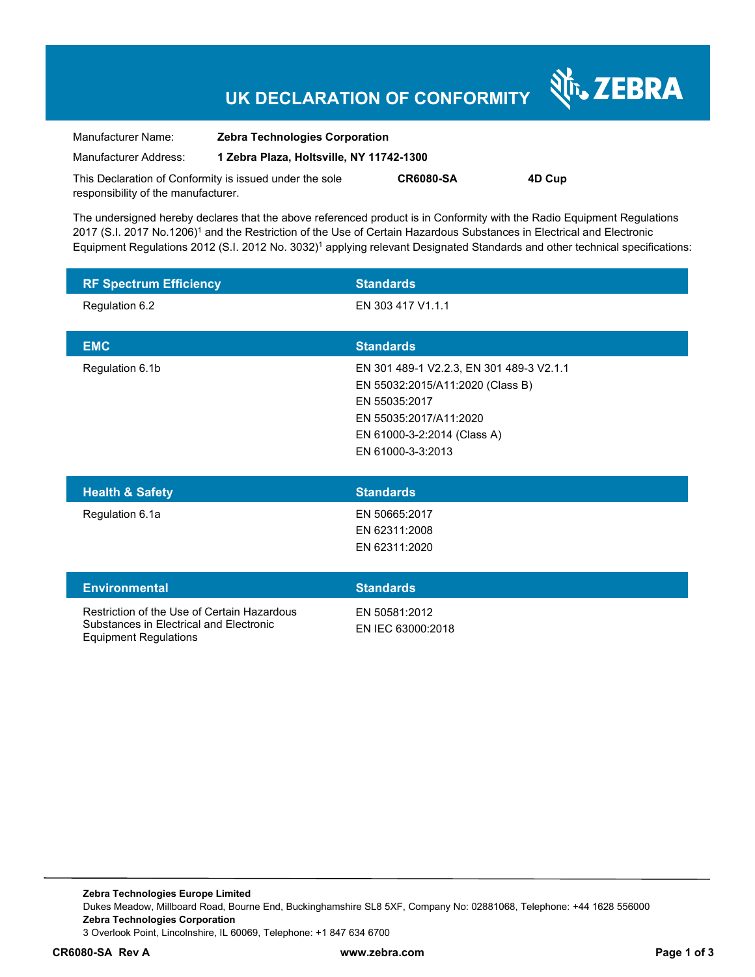# **UK DECLARATION OF CONFORMITY**

Nr. ZEBRA

| Manufacturer Name:                                      | <b>Zebra Technologies Corporation</b>    |                  |        |
|---------------------------------------------------------|------------------------------------------|------------------|--------|
| Manufacturer Address:                                   | 1 Zebra Plaza, Holtsville, NY 11742-1300 |                  |        |
| This Declaration of Conformity is issued under the sole |                                          | <b>CR6080-SA</b> | 4D Cup |
| responsibility of the manufacturer.                     |                                          |                  |        |

The undersigned hereby declares that the above referenced product is in Conformity with the Radio Equipment Regulations 2017 (S.I. 2017 No.1206)<sup>1</sup> and the Restriction of the Use of Certain Hazardous Substances in Electrical and Electronic Equipment Regulations 2012 (S.I. 2012 No. 3032)<sup>1</sup> applying relevant Designated Standards and other technical specifications:

| <b>RF Spectrum Efficiency</b> | <b>Standards</b>                                                                                                                                                            |
|-------------------------------|-----------------------------------------------------------------------------------------------------------------------------------------------------------------------------|
| Regulation 6.2                | EN 303 417 V1.1.1                                                                                                                                                           |
| <b>EMC</b>                    | <b>Standards</b>                                                                                                                                                            |
| Regulation 6.1b               | EN 301 489-1 V2.2.3, EN 301 489-3 V2.1.1<br>EN 55032:2015/A11:2020 (Class B)<br>EN 55035:2017<br>EN 55035:2017/A11:2020<br>EN 61000-3-2:2014 (Class A)<br>EN 61000-3-3:2013 |
| <b>Health &amp; Safety</b>    | <b>Standards</b>                                                                                                                                                            |
| Regulation 6.1a               | EN 50665:2017<br>EN 62311:2008<br>EN 62311:2020                                                                                                                             |

| <b>Environmental</b>                                                                                                   | <b>Standards</b>                   |
|------------------------------------------------------------------------------------------------------------------------|------------------------------------|
| Restriction of the Use of Certain Hazardous<br>Substances in Electrical and Electronic<br><b>Equipment Regulations</b> | FN 50581:2012<br>FN IFC 63000:2018 |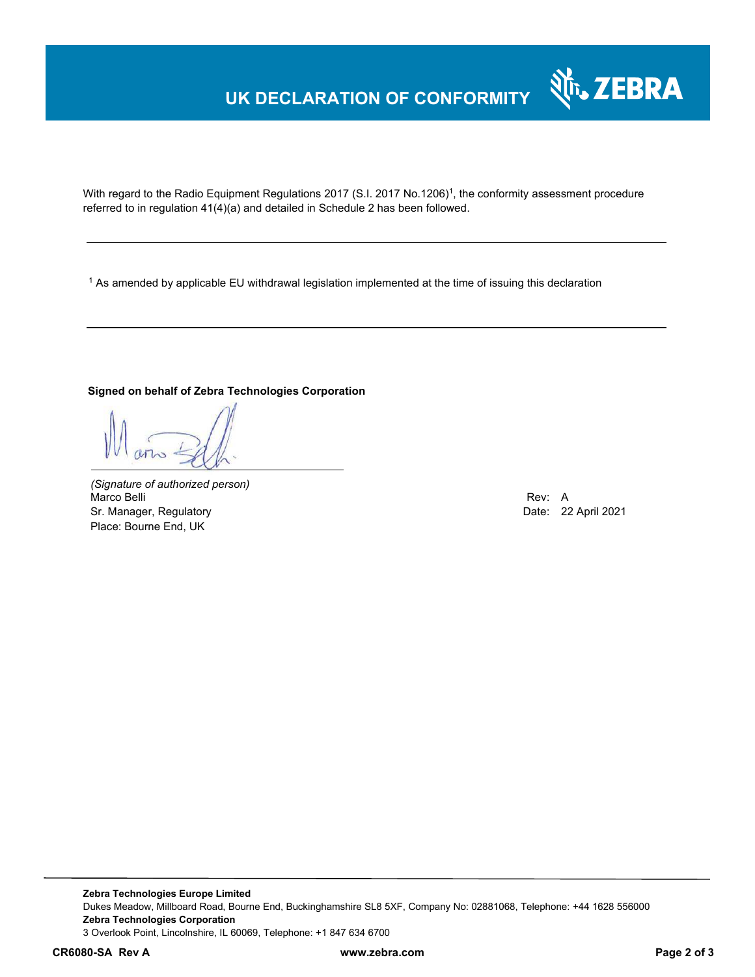## **UK DECLARATION OF CONFORMITY**



With regard to the Radio Equipment Regulations 2017 (S.I. 2017 No.1206)<sup>1</sup>, the conformity assessment procedure referred to in regulation 41(4)(a) and detailed in Schedule 2 has been followed.

 $^{\rm 1}$  As amended by applicable EU withdrawal legislation implemented at the time of issuing this declaration

#### **Signed on behalf of Zebra Technologies Corporation**

*(Signature of authorized person)* Marco Belli Rev: A Sr. Manager, Regulatory **Date: 22 April 2021** Place: Bourne End, UK